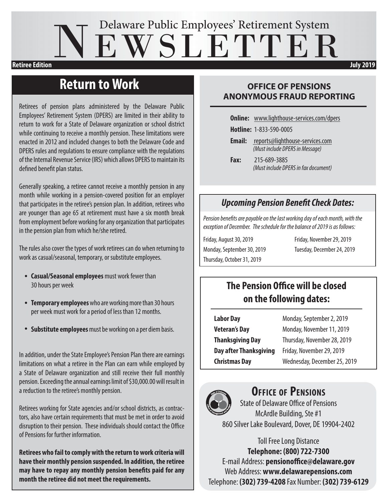# NEWSLETTER Delaware Public Employees' Retirement System **Retiree Edition discussed by the contract of the contract of the contract of the contract of the contract of the contract of the contract of the contract of the contract of the contract of the contract of the contract of**

### **Return to Work**

Retirees of pension plans administered by the Delaware Public Employees' Retirement System (DPERS) are limited in their ability to return to work for a State of Delaware organization or school district while continuing to receive a monthly pension. These limitations were enacted in 2012 and included changes to both the Delaware Code and DPERS rules and regulations to ensure compliance with the regulations of the Internal Revenue Service (IRS) which allows DPERS to maintain its defined benefit plan status.

Generally speaking, a retiree cannot receive a monthly pension in any month while working in a pension-covered position for an employer that participates in the retiree's pension plan. In addition, retirees who are younger than age 65 at retirement must have a six month break from employment before working for any organization that participates in the pension plan from which he/she retired.

The rules also cover the types of work retirees can do when returning to work as casual/seasonal, temporary, or substitute employees.

- **Casual/Seasonal employees** must work fewer than 30 hours per week
- **Temporary employees** who are working more than 30 hours per week must work for a period of less than 12 months.
- **Substitute employees** must be working on a per diem basis.

In addition, under the State Employee's Pension Plan there are earnings limitations on what a retiree in the Plan can earn while employed by a State of Delaware organization and still receive their full monthly pension. Exceeding the annual earnings limit of \$30,000.00 will result in a reduction to the retiree's monthly pension.

Retirees working for State agencies and/or school districts, as contractors, also have certain requirements that must be met in order to avoid disruption to their pension. These individuals should contact the Office of Pensions for further information.

**Retirees who fail to comply with the return to work criteria will have their monthly pension suspended. In addition, the retiree may have to repay any monthly pension benefits paid for any month the retiree did not meet the requirements.**

#### **OFFICE OF PENSIONS ANONYMOUS FRAUD REPORTING**

**Online:** www.lighthouse-services.com/dpers

**Hotline:** 1-833-590-0005

**Email:** reports@lighthouse-services.com *(Must include DPERS in Message)*

**Fax:** 215-689-3885 *(Must include DPERS in fax document)*

#### *Upcoming Pension Benefit Check Dates:*

*Pension benefits are payable on the last working day of each month, with the exception of December. The schedule for the balance of 2019 is as follows:*

Friday, August 30, 2019 Friday, November 29, 2019 Monday, September 30, 2019 Tuesday, December 24, 2019 Thursday, October 31, 2019

### **The Pension Office will be closed on the following dates:**

| <b>Labor Day</b>              | Monday, September 2, 2019    |
|-------------------------------|------------------------------|
| <b>Veteran's Day</b>          | Monday, November 11, 2019    |
| <b>Thanksgiving Day</b>       | Thursday, November 28, 2019  |
| <b>Day after Thanksgiving</b> | Friday, November 29, 2019    |
| <b>Christmas Day</b>          | Wednesday, December 25, 2019 |



#### **Office of Pensions**

State of Delaware Office of Pensions McArdle Building, Ste #1 860 Silver Lake Boulevard, Dover, DE 19904-2402

Toll Free Long Distance **Telephone: (800) 722-7300** E-mail Address: **pensionoffice@delaware.gov** Web Address: **www.delawarepensions.com** Telephone: **(302) 739-4208** Fax Number: **(302) 739-6129**